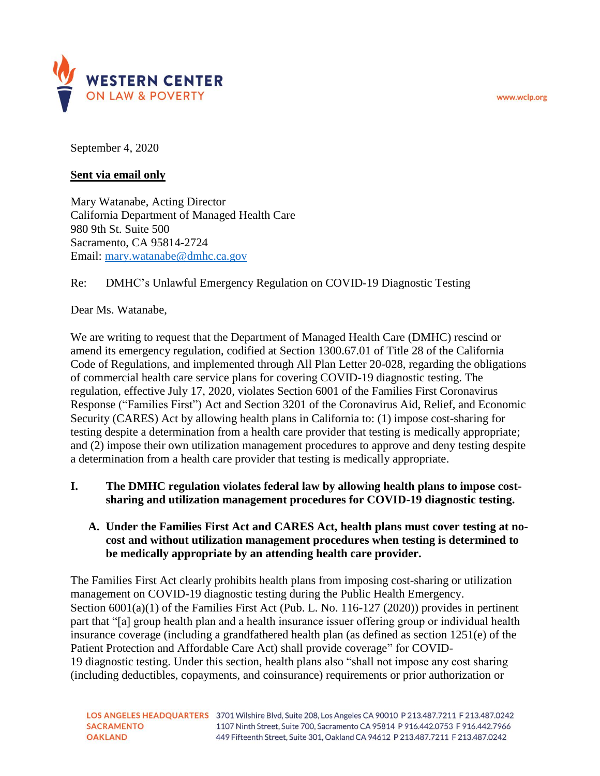www.wclp.org



September 4, 2020

# **Sent via email only**

Mary Watanabe, Acting Director California Department of Managed Health Care 980 9th St. Suite 500 Sacramento, CA 95814-2724 Email: [mary.watanabe@dmhc.ca.gov](mailto:mary.watanabe@dmhc.ca.gov)

# Re: DMHC's Unlawful Emergency Regulation on COVID-19 Diagnostic Testing

Dear Ms. Watanabe,

We are writing to request that the Department of Managed Health Care (DMHC) rescind or amend its emergency regulation, codified at Section 1300.67.01 of Title 28 of the California Code of Regulations, and implemented through All Plan Letter 20-028, regarding the obligations of commercial health care service plans for covering COVID-19 diagnostic testing. The regulation, effective July 17, 2020, violates Section 6001 of the Families First Coronavirus Response ("Families First") Act and Section 3201 of the Coronavirus Aid, Relief, and Economic Security (CARES) Act by allowing health plans in California to: (1) impose cost-sharing for testing despite a determination from a health care provider that testing is medically appropriate; and (2) impose their own utilization management procedures to approve and deny testing despite a determination from a health care provider that testing is medically appropriate.

- **I. The DMHC regulation violates federal law by allowing health plans to impose costsharing and utilization management procedures for COVID-19 diagnostic testing.** 
	- **A. Under the Families First Act and CARES Act, health plans must cover testing at nocost and without utilization management procedures when testing is determined to be medically appropriate by an attending health care provider.**

The Families First Act clearly prohibits health plans from imposing cost-sharing or utilization management on COVID-19 diagnostic testing during the Public Health Emergency. Section 6001(a)(1) of the Families First Act (Pub. L. No. 116-127 (2020)) provides in pertinent part that "[a] group health plan and a health insurance issuer offering group or individual health insurance coverage (including a grandfathered health plan (as defined as section 1251(e) of the Patient Protection and Affordable Care Act) shall provide coverage" for COVID-19 diagnostic testing. Under this section, health plans also "shall not impose any cost sharing (including deductibles, copayments, and coinsurance) requirements or prior authorization or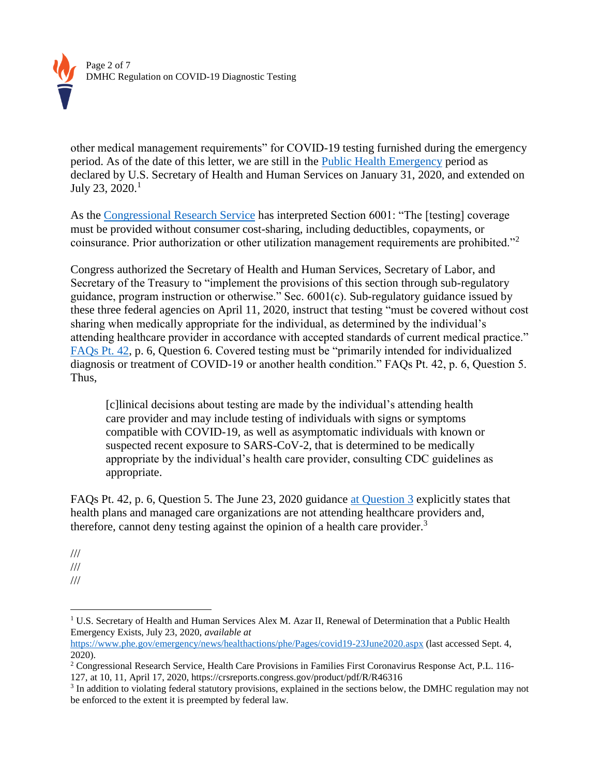

other medical management requirements" for COVID-19 testing furnished during the emergency period. As of the date of this letter, we are still in the [Public Health Emergency](https://www.phe.gov/emergency/news/healthactions/phe/Pages/covid19-23June2020.aspx) period as declared by U.S. Secretary of Health and Human Services on January 31, 2020, and extended on July 23,  $2020.<sup>1</sup>$ 

As the [Congressional Research Service](https://crsreports.congress.gov/product/pdf/R/R46316) has interpreted Section 6001: "The [testing] coverage must be provided without consumer cost-sharing, including deductibles, copayments, or coinsurance. Prior authorization or other utilization management requirements are prohibited."<sup>2</sup>

Congress authorized the Secretary of Health and Human Services, Secretary of Labor, and Secretary of the Treasury to "implement the provisions of this section through sub-regulatory guidance, program instruction or otherwise." Sec. 6001(c). Sub-regulatory guidance issued by these three federal agencies on April 11, 2020, instruct that testing "must be covered without cost sharing when medically appropriate for the individual, as determined by the individual's attending healthcare provider in accordance with accepted standards of current medical practice." [FAQs Pt. 42,](https://www.cms.gov/files/document/FFCRA-Part-42-FAQs.pdf) p. 6, Question 6. Covered testing must be "primarily intended for individualized diagnosis or treatment of COVID-19 or another health condition." FAQs Pt. 42, p. 6, Question 5. Thus,

[c]linical decisions about testing are made by the individual's attending health care provider and may include testing of individuals with signs or symptoms compatible with COVID-19, as well as asymptomatic individuals with known or suspected recent exposure to SARS-CoV-2, that is determined to be medically appropriate by the individual's health care provider, consulting CDC guidelines as appropriate.

FAQs Pt. 42, p. 6, Question 5. The [June 23, 2020 guidance at Question 3](https://www.cms.gov/files/document/FFCRA-Part-43-FAQs.pdf) explicitly states that health plans and managed care organizations are not attending healthcare providers and, therefore, cannot deny testing against the opinion of a health care provider.<sup>3</sup>

- ///
- ///
- ///

 $\overline{a}$ 

<sup>&</sup>lt;sup>1</sup> U.S. Secretary of Health and Human Services Alex M. Azar II, Renewal of Determination that a Public Health Emergency Exists, July 23, 2020, *available at*

<https://www.phe.gov/emergency/news/healthactions/phe/Pages/covid19-23June2020.aspx> (last accessed Sept. 4, 2020).

<sup>&</sup>lt;sup>2</sup> Congressional Research Service, Health Care Provisions in Families First Coronavirus Response Act, P.L. 116-127, at 10, 11, April 17, 2020, https://crsreports.congress.gov/product/pdf/R/R46316

<sup>&</sup>lt;sup>3</sup> In addition to violating federal statutory provisions, explained in the sections below, the DMHC regulation may not be enforced to the extent it is preempted by federal law.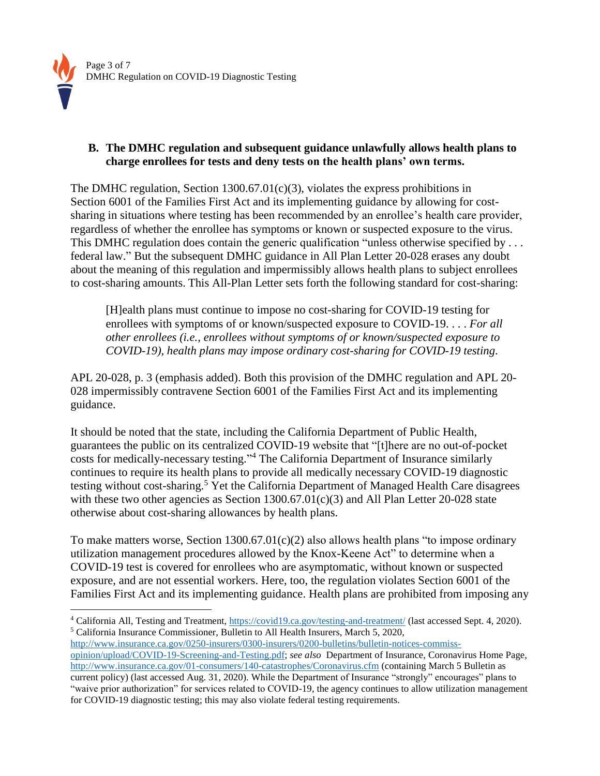

# **B. The DMHC regulation and subsequent guidance unlawfully allows health plans to charge enrollees for tests and deny tests on the health plans' own terms.**

The DMHC regulation, Section 1300.67.01(c)(3), violates the express prohibitions in Section 6001 of the Families First Act and its implementing guidance by allowing for costsharing in situations where testing has been recommended by an enrollee's health care provider, regardless of whether the enrollee has symptoms or known or suspected exposure to the virus. This DMHC regulation does contain the generic qualification "unless otherwise specified by . . . federal law." But the subsequent DMHC guidance in All Plan Letter 20-028 erases any doubt about the meaning of this regulation and impermissibly allows health plans to subject enrollees to cost-sharing amounts. This All-Plan Letter sets forth the following standard for cost-sharing:

[H]ealth plans must continue to impose no cost-sharing for COVID-19 testing for enrollees with symptoms of or known/suspected exposure to COVID-19. . . . *For all other enrollees (i.e., enrollees without symptoms of or known/suspected exposure to COVID-19), health plans may impose ordinary cost-sharing for COVID-19 testing*.

APL 20-028, p. 3 (emphasis added). Both this provision of the DMHC regulation and APL 20- 028 impermissibly contravene Section 6001 of the Families First Act and its implementing guidance.

It should be noted that the state, including the California Department of Public Health, guarantees the public on its centralized COVID-19 website that "[t]here are no out-of-pocket costs for medically-necessary testing." <sup>4</sup> The California Department of Insurance similarly continues to require its health plans to provide all medically necessary COVID-19 diagnostic testing without cost-sharing.<sup>5</sup> Yet the California Department of Managed Health Care disagrees with these two other agencies as Section 1300.67.01(c)(3) and All Plan Letter 20-028 state otherwise about cost-sharing allowances by health plans.

To make matters worse, Section  $1300.67.01(c)(2)$  also allows health plans "to impose ordinary" utilization management procedures allowed by the Knox-Keene Act" to determine when a COVID-19 test is covered for enrollees who are asymptomatic, without known or suspected exposure, and are not essential workers. Here, too, the regulation violates Section 6001 of the Families First Act and its implementing guidance. Health plans are prohibited from imposing any

[http://www.insurance.ca.gov/0250-insurers/0300-insurers/0200-bulletins/bulletin-notices-commiss-](http://www.insurance.ca.gov/0250-insurers/0300-insurers/0200-bulletins/bulletin-notices-commiss-opinion/upload/COVID-19-Screening-and-Testing.pdf)

 $\overline{a}$ <sup>4</sup> California All, Testing and Treatment,<https://covid19.ca.gov/testing-and-treatment/> (last accessed Sept. 4, 2020). <sup>5</sup> California Insurance Commissioner, Bulletin to All Health Insurers, March 5, 2020,

[opinion/upload/COVID-19-Screening-and-Testing.pdf;](http://www.insurance.ca.gov/0250-insurers/0300-insurers/0200-bulletins/bulletin-notices-commiss-opinion/upload/COVID-19-Screening-and-Testing.pdf) *see also* Department of Insurance, Coronavirus Home Page, <http://www.insurance.ca.gov/01-consumers/140-catastrophes/Coronavirus.cfm> (containing March 5 Bulletin as current policy) (last accessed Aug. 31, 2020). While the Department of Insurance "strongly" encourages" plans to "waive prior authorization" for services related to COVID-19, the agency continues to allow utilization management for COVID-19 diagnostic testing; this may also violate federal testing requirements.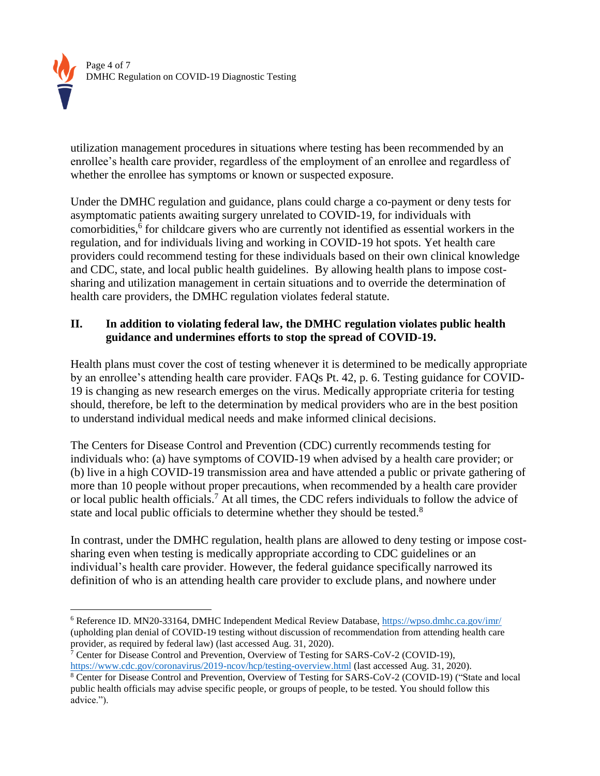

 $\overline{a}$ 

utilization management procedures in situations where testing has been recommended by an enrollee's health care provider, regardless of the employment of an enrollee and regardless of whether the enrollee has symptoms or known or suspected exposure.

Under the DMHC regulation and guidance, plans could charge a co-payment or deny tests for asymptomatic patients awaiting surgery unrelated to COVID-19, for individuals with comorbidities, 6 for childcare givers who are currently not identified as essential workers in the regulation, and for individuals living and working in COVID-19 hot spots. Yet health care providers could recommend testing for these individuals based on their own clinical knowledge and CDC, state, and local public health guidelines. By allowing health plans to impose costsharing and utilization management in certain situations and to override the determination of health care providers, the DMHC regulation violates federal statute.

# **II. In addition to violating federal law, the DMHC regulation violates public health guidance and undermines efforts to stop the spread of COVID-19.**

Health plans must cover the cost of testing whenever it is determined to be medically appropriate by an enrollee's attending health care provider. FAQs Pt. 42, p. 6. Testing guidance for COVID-19 is changing as new research emerges on the virus. Medically appropriate criteria for testing should, therefore, be left to the determination by medical providers who are in the best position to understand individual medical needs and make informed clinical decisions.

The Centers for Disease Control and Prevention (CDC) currently recommends testing for individuals who: (a) have symptoms of COVID-19 when advised by a health care provider; or (b) live in a high COVID-19 transmission area and have attended a public or private gathering of more than 10 people without proper precautions, when recommended by a health care provider or local public health officials.<sup>7</sup> At all times, the CDC refers individuals to follow the advice of state and local public officials to determine whether they should be tested. $8$ 

In contrast, under the DMHC regulation, health plans are allowed to deny testing or impose costsharing even when testing is medically appropriate according to CDC guidelines or an individual's health care provider. However, the federal guidance specifically narrowed its definition of who is an attending health care provider to exclude plans, and nowhere under

<sup>6</sup> Reference ID. MN20-33164, DMHC Independent Medical Review Database,<https://wpso.dmhc.ca.gov/imr/> (upholding plan denial of COVID-19 testing without discussion of recommendation from attending health care provider, as required by federal law) (last accessed Aug. 31, 2020).

<sup>7</sup> Center for Disease Control and Prevention, Overview of Testing for SARS-CoV-2 (COVID-19), <https://www.cdc.gov/coronavirus/2019-ncov/hcp/testing-overview.html> (last accessed Aug. 31, 2020).

<sup>8</sup> Center for Disease Control and Prevention, Overview of Testing for SARS-CoV-2 (COVID-19) ("State and local public health officials may advise specific people, or groups of people, to be tested. You should follow this advice.").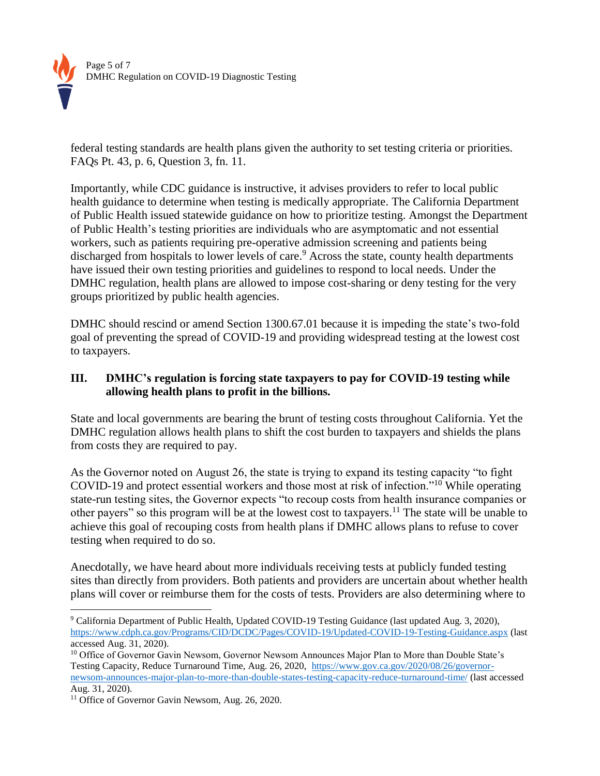

federal testing standards are health plans given the authority to set testing criteria or priorities. FAQs Pt. 43, p. 6, Question 3, fn. 11.

Importantly, while CDC guidance is instructive, it advises providers to refer to local public health guidance to determine when testing is medically appropriate. The California Department of Public Health issued statewide guidance on how to prioritize testing. Amongst the Department of Public Health's testing priorities are individuals who are asymptomatic and not essential workers, such as patients requiring pre-operative admission screening and patients being discharged from hospitals to lower levels of care.<sup>9</sup> Across the state, county health departments have issued their own testing priorities and guidelines to respond to local needs. Under the DMHC regulation, health plans are allowed to impose cost-sharing or deny testing for the very groups prioritized by public health agencies.

DMHC should rescind or amend Section 1300.67.01 because it is impeding the state's two-fold goal of preventing the spread of COVID-19 and providing widespread testing at the lowest cost to taxpayers.

# **III. DMHC's regulation is forcing state taxpayers to pay for COVID-19 testing while allowing health plans to profit in the billions.**

State and local governments are bearing the brunt of testing costs throughout California. Yet the DMHC regulation allows health plans to shift the cost burden to taxpayers and shields the plans from costs they are required to pay.

As the Governor noted on August 26, the state is trying to expand its testing capacity "to fight COVID-19 and protect essential workers and those most at risk of infection."<sup>10</sup> While operating state-run testing sites, the Governor expects "to recoup costs from health insurance companies or other payers" so this program will be at the lowest cost to taxpayers.<sup>11</sup> The state will be unable to achieve this goal of recouping costs from health plans if DMHC allows plans to refuse to cover testing when required to do so.

Anecdotally, we have heard about more individuals receiving tests at publicly funded testing sites than directly from providers. Both patients and providers are uncertain about whether health plans will cover or reimburse them for the costs of tests. Providers are also determining where to

 $\overline{a}$ <sup>9</sup> California Department of Public Health, Updated COVID-19 Testing Guidance (last updated Aug. 3, 2020), <https://www.cdph.ca.gov/Programs/CID/DCDC/Pages/COVID-19/Updated-COVID-19-Testing-Guidance.aspx> (last accessed Aug. 31, 2020).

<sup>&</sup>lt;sup>10</sup> Office of Governor Gavin Newsom, Governor Newsom Announces Major Plan to More than Double State's Testing Capacity, Reduce Turnaround Time, Aug. 26, 2020, [https://www.gov.ca.gov/2020/08/26/governor](https://www.gov.ca.gov/2020/08/26/governor-newsom-announces-major-plan-to-more-than-double-states-testing-capacity-reduce-turnaround-time/)[newsom-announces-major-plan-to-more-than-double-states-testing-capacity-reduce-turnaround-time/](https://www.gov.ca.gov/2020/08/26/governor-newsom-announces-major-plan-to-more-than-double-states-testing-capacity-reduce-turnaround-time/) (last accessed Aug. 31, 2020).

<sup>&</sup>lt;sup>11</sup> Office of Governor Gavin Newsom, Aug. 26, 2020.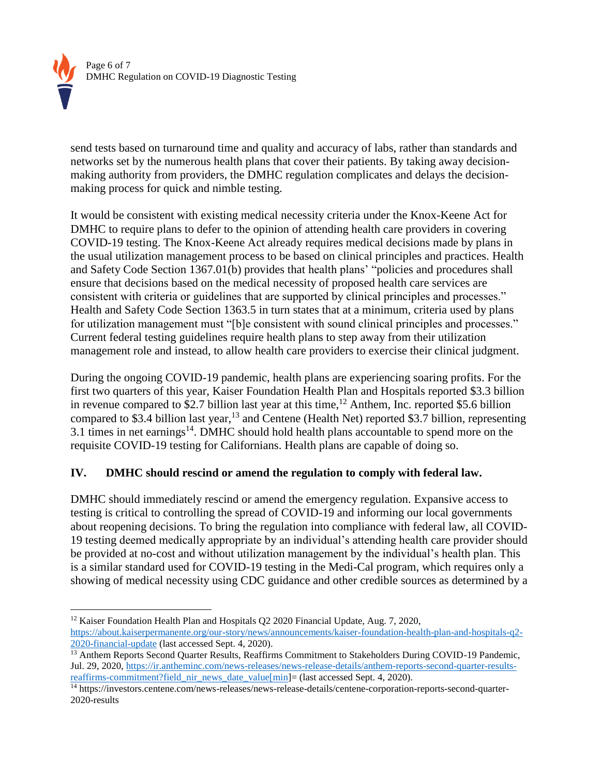

send tests based on turnaround time and quality and accuracy of labs, rather than standards and networks set by the numerous health plans that cover their patients. By taking away decisionmaking authority from providers, the DMHC regulation complicates and delays the decisionmaking process for quick and nimble testing.

It would be consistent with existing medical necessity criteria under the Knox-Keene Act for DMHC to require plans to defer to the opinion of attending health care providers in covering COVID-19 testing. The Knox-Keene Act already requires medical decisions made by plans in the usual utilization management process to be based on clinical principles and practices. Health and Safety Code Section 1367.01(b) provides that health plans' "policies and procedures shall ensure that decisions based on the medical necessity of proposed health care services are consistent with criteria or guidelines that are supported by clinical principles and processes." Health and Safety Code Section 1363.5 in turn states that at a minimum, criteria used by plans for utilization management must "[b]e consistent with sound clinical principles and processes." Current federal testing guidelines require health plans to step away from their utilization management role and instead, to allow health care providers to exercise their clinical judgment.

During the ongoing COVID-19 pandemic, health plans are experiencing soaring profits. For the first two quarters of this year, Kaiser Foundation Health Plan and Hospitals reported \$3.3 billion in revenue compared to \$2.7 billion last year at this time,  $12$  Anthem, Inc. reported \$5.6 billion compared to \$3.4 billion last year,<sup>13</sup> and Centene (Health Net) reported \$3.7 billion, representing 3.1 times in net earnings<sup>14</sup>. DMHC should hold health plans accountable to spend more on the requisite COVID-19 testing for Californians. Health plans are capable of doing so.

# **IV. DMHC should rescind or amend the regulation to comply with federal law.**

DMHC should immediately rescind or amend the emergency regulation. Expansive access to testing is critical to controlling the spread of COVID-19 and informing our local governments about reopening decisions. To bring the regulation into compliance with federal law, all COVID-19 testing deemed medically appropriate by an individual's attending health care provider should be provided at no-cost and without utilization management by the individual's health plan. This is a similar standard used for COVID-19 testing in the Medi-Cal program, which requires only a showing of medical necessity using CDC guidance and other credible sources as determined by a

 $\overline{a}$ <sup>12</sup> Kaiser Foundation Health Plan and Hospitals O2 2020 Financial Update, Aug. 7, 2020, [https://about.kaiserpermanente.org/our-story/news/announcements/kaiser-foundation-health-plan-and-hospitals-q2-](https://about.kaiserpermanente.org/our-story/news/announcements/kaiser-foundation-health-plan-and-hospitals-q2-2020-financial-update) [2020-financial-update](https://about.kaiserpermanente.org/our-story/news/announcements/kaiser-foundation-health-plan-and-hospitals-q2-2020-financial-update) (last accessed Sept. 4, 2020).

<sup>&</sup>lt;sup>13</sup> Anthem Reports Second Quarter Results, Reaffirms Commitment to Stakeholders During COVID-19 Pandemic, Jul. 29, 2020[, https://ir.antheminc.com/news-releases/news-release-details/anthem-reports-second-quarter-results](https://ir.antheminc.com/news-releases/news-release-details/anthem-reports-second-quarter-results-reaffirms-commitment?field_nir_news_date_value%5bmin)[reaffirms-commitment?field\\_nir\\_news\\_date\\_value\[min\]](https://ir.antheminc.com/news-releases/news-release-details/anthem-reports-second-quarter-results-reaffirms-commitment?field_nir_news_date_value%5bmin)= (last accessed Sept. 4, 2020).

<sup>14</sup> https://investors.centene.com/news-releases/news-release-details/centene-corporation-reports-second-quarter-2020-results